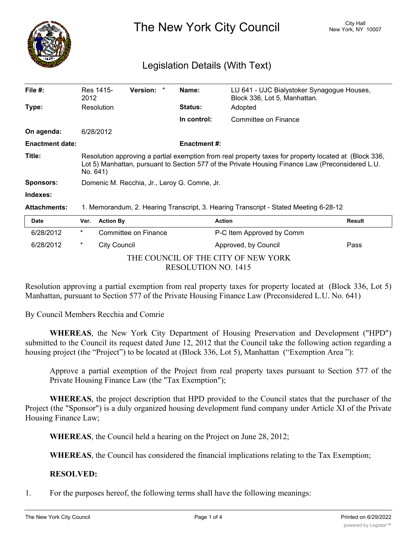

The New York City Council New York, NY 10007

## Legislation Details (With Text)

| File $#$ :             | Res 1415-<br>2012                                                                                                                                                                                                     | Version: *           |  | Name:               | LU 641 - UJC Bialystoker Synagogue Houses,<br>Block 336, Lot 5, Manhattan. |               |  |
|------------------------|-----------------------------------------------------------------------------------------------------------------------------------------------------------------------------------------------------------------------|----------------------|--|---------------------|----------------------------------------------------------------------------|---------------|--|
| Type:                  | Resolution                                                                                                                                                                                                            |                      |  | <b>Status:</b>      | Adopted                                                                    |               |  |
|                        |                                                                                                                                                                                                                       |                      |  | In control:         | Committee on Finance                                                       |               |  |
| On agenda:             | 6/28/2012                                                                                                                                                                                                             |                      |  |                     |                                                                            |               |  |
| <b>Enactment date:</b> |                                                                                                                                                                                                                       |                      |  | <b>Enactment #:</b> |                                                                            |               |  |
| Title:                 | Resolution approving a partial exemption from real property taxes for property located at (Block 336,<br>Lot 5) Manhattan, pursuant to Section 577 of the Private Housing Finance Law (Preconsidered L.U.<br>No. 641) |                      |  |                     |                                                                            |               |  |
| <b>Sponsors:</b>       | Domenic M. Recchia, Jr., Leroy G. Comrie, Jr.                                                                                                                                                                         |                      |  |                     |                                                                            |               |  |
| Indexes:               |                                                                                                                                                                                                                       |                      |  |                     |                                                                            |               |  |
| <b>Attachments:</b>    | 1. Memorandum, 2. Hearing Transcript, 3. Hearing Transcript - Stated Meeting 6-28-12                                                                                                                                  |                      |  |                     |                                                                            |               |  |
| <b>Date</b>            | <b>Action By</b><br>Ver.                                                                                                                                                                                              |                      |  |                     | <b>Action</b>                                                              | <b>Result</b> |  |
| 6/28/2012              | *                                                                                                                                                                                                                     | Committee on Finance |  |                     | P-C Item Approved by Comm                                                  |               |  |

|                                     | ----                |   | $\cdots$ $\cdots$    | , , , , , , ,             | .    |  |  |  |
|-------------------------------------|---------------------|---|----------------------|---------------------------|------|--|--|--|
|                                     | 6/28/2012           | * | Committee on Finance | P-C Item Approved by Comm |      |  |  |  |
|                                     | 6/28/2012           |   | City Council         | Approved, by Council      | Pass |  |  |  |
| THE COUNCIL OF THE CITY OF NEW YORK |                     |   |                      |                           |      |  |  |  |
|                                     | RESOLUTION NO. 1415 |   |                      |                           |      |  |  |  |

Resolution approving a partial exemption from real property taxes for property located at (Block 336, Lot 5) Manhattan, pursuant to Section 577 of the Private Housing Finance Law (Preconsidered L.U. No. 641)

By Council Members Recchia and Comrie

**WHEREAS**, the New York City Department of Housing Preservation and Development ("HPD") submitted to the Council its request dated June 12, 2012 that the Council take the following action regarding a housing project (the "Project") to be located at (Block 336, Lot 5), Manhattan ("Exemption Area"):

Approve a partial exemption of the Project from real property taxes pursuant to Section 577 of the Private Housing Finance Law (the "Tax Exemption");

**WHEREAS**, the project description that HPD provided to the Council states that the purchaser of the Project (the "Sponsor") is a duly organized housing development fund company under Article XI of the Private Housing Finance Law;

**WHEREAS**, the Council held a hearing on the Project on June 28, 2012;

**WHEREAS**, the Council has considered the financial implications relating to the Tax Exemption;

## **RESOLVED:**

1. For the purposes hereof, the following terms shall have the following meanings: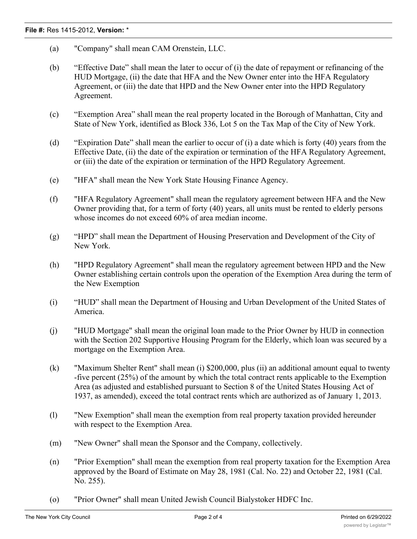- (a) "Company" shall mean CAM Orenstein, LLC.
- (b) "Effective Date" shall mean the later to occur of (i) the date of repayment or refinancing of the HUD Mortgage, (ii) the date that HFA and the New Owner enter into the HFA Regulatory Agreement, or (iii) the date that HPD and the New Owner enter into the HPD Regulatory Agreement.
- (c) "Exemption Area" shall mean the real property located in the Borough of Manhattan, City and State of New York, identified as Block 336, Lot 5 on the Tax Map of the City of New York.
- (d) "Expiration Date" shall mean the earlier to occur of (i) a date which is forty (40) years from the Effective Date, (ii) the date of the expiration or termination of the HFA Regulatory Agreement, or (iii) the date of the expiration or termination of the HPD Regulatory Agreement.
- (e) "HFA" shall mean the New York State Housing Finance Agency.
- (f) "HFA Regulatory Agreement" shall mean the regulatory agreement between HFA and the New Owner providing that, for a term of forty (40) years, all units must be rented to elderly persons whose incomes do not exceed 60% of area median income.
- (g) "HPD" shall mean the Department of Housing Preservation and Development of the City of New York.
- (h) "HPD Regulatory Agreement" shall mean the regulatory agreement between HPD and the New Owner establishing certain controls upon the operation of the Exemption Area during the term of the New Exemption
- (i) "HUD" shall mean the Department of Housing and Urban Development of the United States of America.
- (j) "HUD Mortgage" shall mean the original loan made to the Prior Owner by HUD in connection with the Section 202 Supportive Housing Program for the Elderly, which loan was secured by a mortgage on the Exemption Area.
- (k) "Maximum Shelter Rent" shall mean (i) \$200,000, plus (ii) an additional amount equal to twenty -five percent (25%) of the amount by which the total contract rents applicable to the Exemption Area (as adjusted and established pursuant to Section 8 of the United States Housing Act of 1937, as amended), exceed the total contract rents which are authorized as of January 1, 2013.
- (l) "New Exemption" shall mean the exemption from real property taxation provided hereunder with respect to the Exemption Area.
- (m) "New Owner" shall mean the Sponsor and the Company, collectively.
- (n) "Prior Exemption" shall mean the exemption from real property taxation for the Exemption Area approved by the Board of Estimate on May 28, 1981 (Cal. No. 22) and October 22, 1981 (Cal. No. 255).
- (o) "Prior Owner" shall mean United Jewish Council Bialystoker HDFC Inc.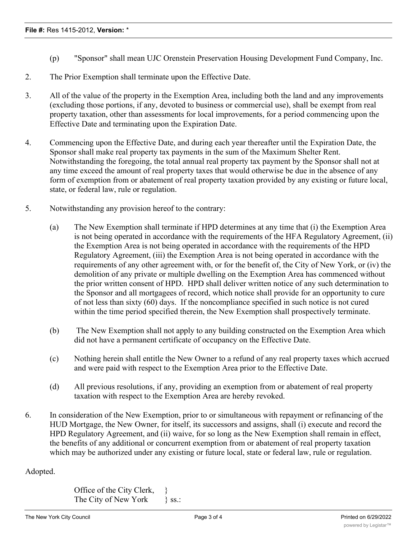- (p) "Sponsor" shall mean UJC Orenstein Preservation Housing Development Fund Company, Inc.
- 2. The Prior Exemption shall terminate upon the Effective Date.
- 3. All of the value of the property in the Exemption Area, including both the land and any improvements (excluding those portions, if any, devoted to business or commercial use), shall be exempt from real property taxation, other than assessments for local improvements, for a period commencing upon the Effective Date and terminating upon the Expiration Date.
- 4. Commencing upon the Effective Date, and during each year thereafter until the Expiration Date, the Sponsor shall make real property tax payments in the sum of the Maximum Shelter Rent. Notwithstanding the foregoing, the total annual real property tax payment by the Sponsor shall not at any time exceed the amount of real property taxes that would otherwise be due in the absence of any form of exemption from or abatement of real property taxation provided by any existing or future local, state, or federal law, rule or regulation.
- 5. Notwithstanding any provision hereof to the contrary:
	- (a) The New Exemption shall terminate if HPD determines at any time that (i) the Exemption Area is not being operated in accordance with the requirements of the HFA Regulatory Agreement, (ii) the Exemption Area is not being operated in accordance with the requirements of the HPD Regulatory Agreement, (iii) the Exemption Area is not being operated in accordance with the requirements of any other agreement with, or for the benefit of, the City of New York, or (iv) the demolition of any private or multiple dwelling on the Exemption Area has commenced without the prior written consent of HPD. HPD shall deliver written notice of any such determination to the Sponsor and all mortgagees of record, which notice shall provide for an opportunity to cure of not less than sixty (60) days. If the noncompliance specified in such notice is not cured within the time period specified therein, the New Exemption shall prospectively terminate.
	- (b) The New Exemption shall not apply to any building constructed on the Exemption Area which did not have a permanent certificate of occupancy on the Effective Date.
	- (c) Nothing herein shall entitle the New Owner to a refund of any real property taxes which accrued and were paid with respect to the Exemption Area prior to the Effective Date.
	- (d) All previous resolutions, if any, providing an exemption from or abatement of real property taxation with respect to the Exemption Area are hereby revoked.
- 6. In consideration of the New Exemption, prior to or simultaneous with repayment or refinancing of the HUD Mortgage, the New Owner, for itself, its successors and assigns, shall (i) execute and record the HPD Regulatory Agreement, and (ii) waive, for so long as the New Exemption shall remain in effect, the benefits of any additional or concurrent exemption from or abatement of real property taxation which may be authorized under any existing or future local, state or federal law, rule or regulation.

Adopted.

Office of the City Clerk, } The City of New York  $\{$  ss.: